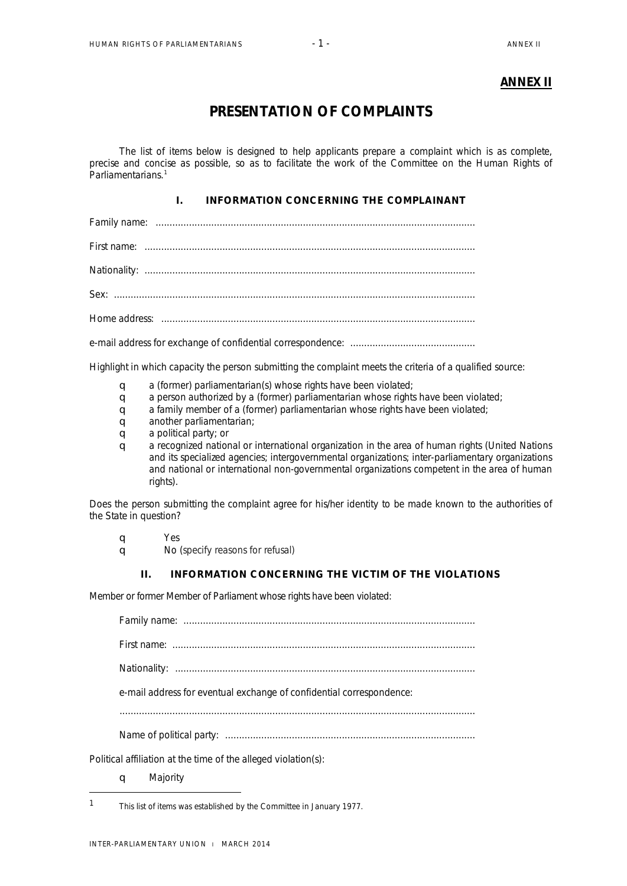## **ANNEX II**

# **PRESENTATION OF COMPLAINTS**

The list of items below is designed to help applicants prepare a complaint which is as complete, precise and concise as possible, so as to facilitate the work of the Committee on the Human Rights of Parliamentarians.<sup>[1](#page-0-0)</sup>

### I. INFORMATION CONCERNING THE COMPLAINANT

Family name: ................................................................................................................... First name: .......................................................................................................................

Nationality: .......................................................................................................................

Sex: ..................................................................................................................................

Home address: .................................................................................................................

e-mail address for exchange of confidential correspondence: .............................................

Highlight in which capacity the person submitting the complaint meets the criteria of a qualified source:

- **q** a (former) parliamentarian(s) whose rights have been violated;
- q a person authorized by a (former) parliamentarian whose rights have been violated;
- **q** a family member of a (former) parliamentarian whose rights have been violated;
- **q** another parliamentarian:
- **q** a political party; or
- q a recognized national or international organization in the area of human rights (United Nations and its specialized agencies; intergovernmental organizations; inter-parliamentary organizations and national or international non-governmental organizations competent in the area of human rights).

Does the person submitting the complaint agree for his/her identity to be made known to the authorities of the State in question?

q Yes

q No (specify reasons for refusal)

#### II. INFORMATION CONCERNING THE VICTIM OF THE VIOLATIONS

Member or former Member of Parliament whose rights have been violated:

Family name: ......................................................................................................... First name: ............................................................................................................. Nationality: ............................................................................................................ e-mail address for eventual exchange of confidential correspondence:

Name of political party: ..........................................................................................

Political affiliation at the time of the alleged violation(s):

q Majority

-

<span id="page-0-0"></span><sup>1</sup> This list of items was established by the Committee in January 1977.